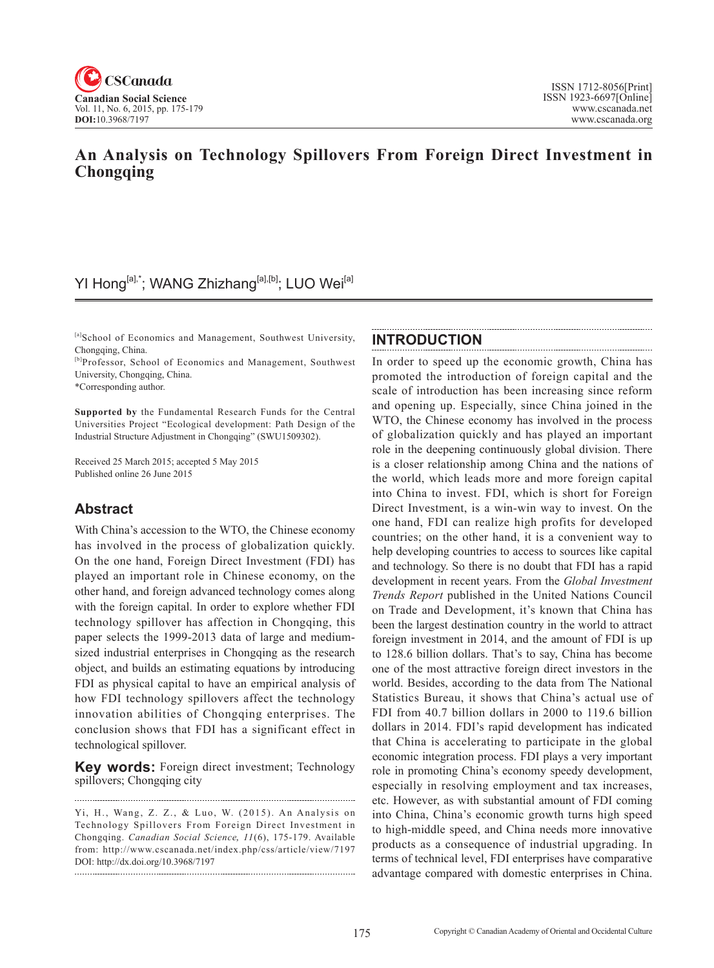

## **An Analysis on Technology Spillovers From Foreign Direct Investment in Chongqing**

# YI Hong<sup>[a],\*</sup>; WANG Zhizhang<sup>[a],[b]</sup>; LUO Wei<sup>[a]</sup>

[a]School of Economics and Management, Southwest University, Chongqing, China.

[b]Professor, School of Economics and Management, Southwest University, Chongqing, China.

\*Corresponding author.

**Supported by** the Fundamental Research Funds for the Central Universities Project "Ecological development: Path Design of the Industrial Structure Adjustment in Chongqing" (SWU1509302).

Received 25 March 2015; accepted 5 May 2015 Published online 26 June 2015

### **Abstract**

With China's accession to the WTO, the Chinese economy has involved in the process of globalization quickly. On the one hand, Foreign Direct Investment (FDI) has played an important role in Chinese economy, on the other hand, and foreign advanced technology comes along with the foreign capital. In order to explore whether FDI technology spillover has affection in Chongqing, this paper selects the 1999-2013 data of large and mediumsized industrial enterprises in Chongqing as the research object, and builds an estimating equations by introducing FDI as physical capital to have an empirical analysis of how FDI technology spillovers affect the technology innovation abilities of Chongqing enterprises. The conclusion shows that FDI has a significant effect in technological spillover.

**Key words:** Foreign direct investment; Technology spillovers; Chongqing city

### **INTRODUCTION**

In order to speed up the economic growth, China has promoted the introduction of foreign capital and the scale of introduction has been increasing since reform and opening up. Especially, since China joined in the WTO, the Chinese economy has involved in the process of globalization quickly and has played an important role in the deepening continuously global division. There is a closer relationship among China and the nations of the world, which leads more and more foreign capital into China to invest. FDI, which is short for Foreign Direct Investment, is a win-win way to invest. On the one hand, FDI can realize high profits for developed countries; on the other hand, it is a convenient way to help developing countries to access to sources like capital and technology. So there is no doubt that FDI has a rapid development in recent years. From the *Global Investment Trends Report* published in the United Nations Council on Trade and Development, it's known that China has been the largest destination country in the world to attract foreign investment in 2014, and the amount of FDI is up to 128.6 billion dollars. That's to say, China has become one of the most attractive foreign direct investors in the world. Besides, according to the data from The National Statistics Bureau, it shows that China's actual use of FDI from 40.7 billion dollars in 2000 to 119.6 billion dollars in 2014. FDI's rapid development has indicated that China is accelerating to participate in the global economic integration process. FDI plays a very important role in promoting China's economy speedy development, especially in resolving employment and tax increases, etc. However, as with substantial amount of FDI coming into China, China's economic growth turns high speed to high-middle speed, and China needs more innovative products as a consequence of industrial upgrading. In terms of technical level, FDI enterprises have comparative advantage compared with domestic enterprises in China.

Yi, H., Wang, Z. Z., & Luo, W. (2015). An Analysis on Technology Spillovers From Foreign Direct Investment in Chongqing. *Canadian Social Science*, 11(6), 175-179. Available from: http://www.cscanada.net/index.php/css/article/view/7197 DOI: http://dx.doi.org/10.3968/7197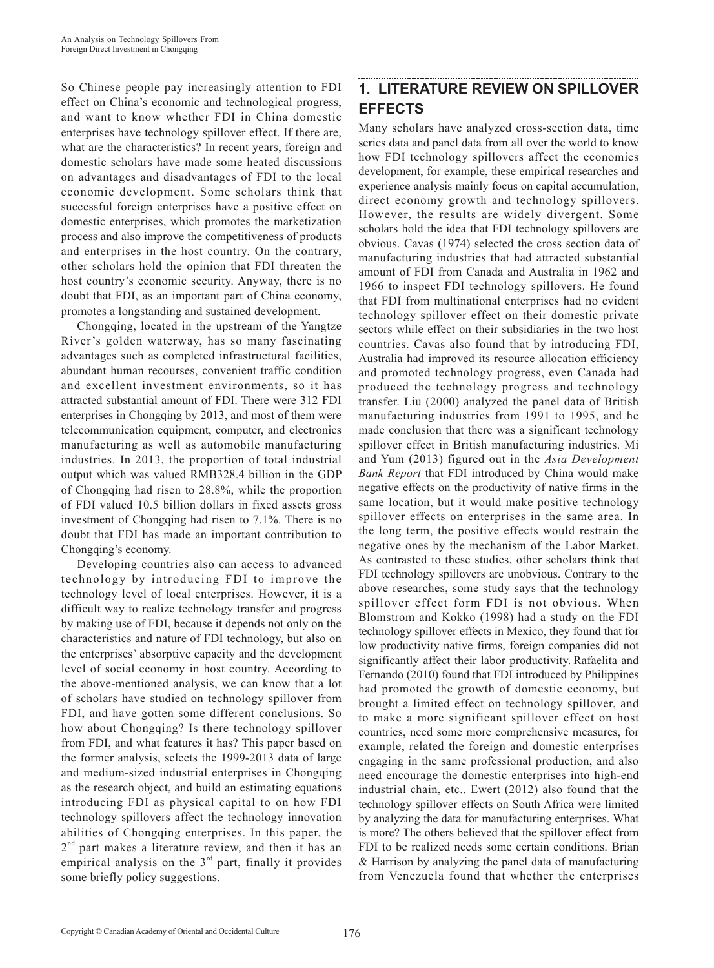So Chinese people pay increasingly attention to FDI effect on China's economic and technological progress, and want to know whether FDI in China domestic enterprises have technology spillover effect. If there are, what are the characteristics? In recent years, foreign and domestic scholars have made some heated discussions on advantages and disadvantages of FDI to the local economic development. Some scholars think that successful foreign enterprises have a positive effect on domestic enterprises, which promotes the marketization process and also improve the competitiveness of products and enterprises in the host country. On the contrary, other scholars hold the opinion that FDI threaten the host country's economic security. Anyway, there is no doubt that FDI, as an important part of China economy, promotes a longstanding and sustained development.

Chongqing, located in the upstream of the Yangtze River's golden waterway, has so many fascinating advantages such as completed infrastructural facilities, abundant human recourses, convenient traffic condition and excellent investment environments, so it has attracted substantial amount of FDI. There were 312 FDI enterprises in Chongqing by 2013, and most of them were telecommunication equipment, computer, and electronics manufacturing as well as automobile manufacturing industries. In 2013, the proportion of total industrial output which was valued RMB328.4 billion in the GDP of Chongqing had risen to 28.8%, while the proportion of FDI valued 10.5 billion dollars in fixed assets gross investment of Chongqing had risen to 7.1%. There is no doubt that FDI has made an important contribution to Chongqing's economy.

Developing countries also can access to advanced technology by introducing FDI to improve the technology level of local enterprises. However, it is a difficult way to realize technology transfer and progress by making use of FDI, because it depends not only on the characteristics and nature of FDI technology, but also on the enterprises' absorptive capacity and the development level of social economy in host country. According to the above-mentioned analysis, we can know that a lot of scholars have studied on technology spillover from FDI, and have gotten some different conclusions. So how about Chongqing? Is there technology spillover from FDI, and what features it has? This paper based on the former analysis, selects the 1999-2013 data of large and medium-sized industrial enterprises in Chongqing as the research object, and build an estimating equations introducing FDI as physical capital to on how FDI technology spillovers affect the technology innovation abilities of Chongqing enterprises. In this paper, the  $2<sup>nd</sup>$  part makes a literature review, and then it has an empirical analysis on the  $3<sup>rd</sup>$  part, finally it provides some briefly policy suggestions.

## **1. LITERATURE REVIEW ON SPILLOVER EFFECTS**

Many scholars have analyzed cross-section data, time series data and panel data from all over the world to know how FDI technology spillovers affect the economics development, for example, these empirical researches and experience analysis mainly focus on capital accumulation, direct economy growth and technology spillovers. However, the results are widely divergent. Some scholars hold the idea that FDI technology spillovers are obvious. Cavas (1974) selected the cross section data of manufacturing industries that had attracted substantial amount of FDI from Canada and Australia in 1962 and 1966 to inspect FDI technology spillovers. He found that FDI from multinational enterprises had no evident technology spillover effect on their domestic private sectors while effect on their subsidiaries in the two host countries. Cavas also found that by introducing FDI, Australia had improved its resource allocation efficiency and promoted technology progress, even Canada had produced the technology progress and technology transfer. Liu (2000) analyzed the panel data of British manufacturing industries from 1991 to 1995, and he made conclusion that there was a significant technology spillover effect in British manufacturing industries. Mi and Yum (2013) figured out in the *Asia Development Bank Report* that FDI introduced by China would make negative effects on the productivity of native firms in the same location, but it would make positive technology spillover effects on enterprises in the same area. In the long term, the positive effects would restrain the negative ones by the mechanism of the Labor Market. As contrasted to these studies, other scholars think that FDI technology spillovers are unobvious. Contrary to the above researches, some study says that the technology spillover effect form FDI is not obvious. When Blomstrom and Kokko (1998) had a study on the FDI technology spillover effects in Mexico, they found that for low productivity native firms, foreign companies did not significantly affect their labor productivity. Rafaelita and Fernando (2010) found that FDI introduced by Philippines had promoted the growth of domestic economy, but brought a limited effect on technology spillover, and to make a more significant spillover effect on host countries, need some more comprehensive measures, for example, related the foreign and domestic enterprises engaging in the same professional production, and also need encourage the domestic enterprises into high-end industrial chain, etc.. Ewert (2012) also found that the technology spillover effects on South Africa were limited by analyzing the data for manufacturing enterprises. What is more? The others believed that the spillover effect from FDI to be realized needs some certain conditions. Brian & Harrison by analyzing the panel data of manufacturing from Venezuela found that whether the enterprises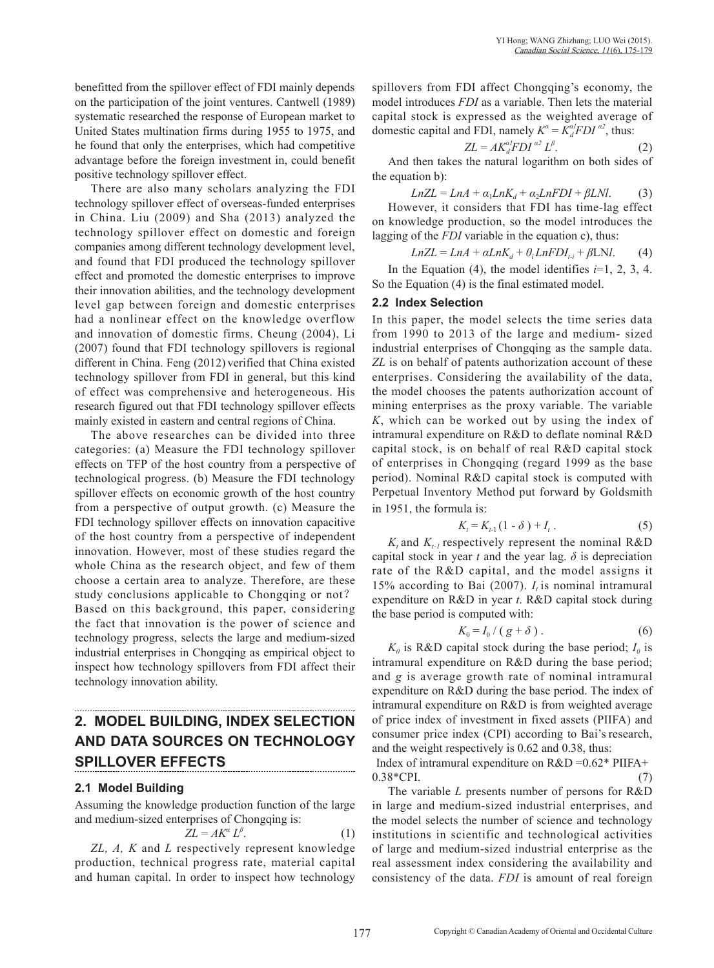benefitted from the spillover effect of FDI mainly depends on the participation of the joint ventures. Cantwell (1989) systematic researched the response of European market to United States multination firms during 1955 to 1975, and he found that only the enterprises, which had competitive advantage before the foreign investment in, could benefit positive technology spillover effect.

There are also many scholars analyzing the FDI technology spillover effect of overseas-funded enterprises in China. Liu (2009) and Sha (2013) analyzed the technology spillover effect on domestic and foreign companies among different technology development level, and found that FDI produced the technology spillover effect and promoted the domestic enterprises to improve their innovation abilities, and the technology development level gap between foreign and domestic enterprises had a nonlinear effect on the knowledge overflow and innovation of domestic firms. Cheung (2004), Li (2007) found that FDI technology spillovers is regional different in China. Feng (2012) verified that China existed technology spillover from FDI in general, but this kind of effect was comprehensive and heterogeneous. His research figured out that FDI technology spillover effects mainly existed in eastern and central regions of China.

The above researches can be divided into three categories: (a) Measure the FDI technology spillover effects on TFP of the host country from a perspective of technological progress. (b) Measure the FDI technology spillover effects on economic growth of the host country from a perspective of output growth. (c) Measure the FDI technology spillover effects on innovation capacitive of the host country from a perspective of independent innovation. However, most of these studies regard the whole China as the research object, and few of them choose a certain area to analyze. Therefore, are these study conclusions applicable to Chongqing or not? Based on this background, this paper, considering the fact that innovation is the power of science and technology progress, selects the large and medium-sized industrial enterprises in Chongqing as empirical object to inspect how technology spillovers from FDI affect their technology innovation ability.

# **2. MODEL BUILDING, INDEX SELECTION AND DATA SOURCES ON TECHNOLOGY SPILLOVER EFFECTS**

### **2.1 Model Building**

Assuming the knowledge production function of the large and medium-sized enterprises of Chongqing is:

$$
ZL = AK^{\alpha} L^{\beta}.
$$
 (1)

*ZL, A, K* and *L* respectively represent knowledge production, technical progress rate, material capital and human capital. In order to inspect how technology spillovers from FDI affect Chongqing's economy, the model introduces *FDI* as a variable. Then lets the material capital stock is expressed as the weighted average of domestic capital and FDI, namely  $K^{\alpha} = K^{\alpha l}_{d} F D I^{\alpha 2}$ , thus:

$$
ZL = AK_d^{al}FDI^{al}L^{\beta}.
$$
 (2)

And then takes the natural logarithm on both sides of the equation b):

$$
LnZL = LnA + a1LnKd + a2LnFDI + βLNI.
$$
 (3)

However, it considers that FDI has time-lag effect on knowledge production, so the model introduces the lagging of the *FDI* variable in the equation c), thus:

$$
LnZL = LnA + \alpha LnK_d + \theta_i LnFDI_{i,i} + \beta LNl.
$$
 (4)

In the Equation (4), the model identifies *i*=1, 2, 3, 4. So the Equation (4) is the final estimated model.

#### **2.2 Index Selection**

In this paper, the model selects the time series data from 1990 to 2013 of the large and medium- sized industrial enterprises of Chongqing as the sample data. *ZL* is on behalf of patents authorization account of these enterprises. Considering the availability of the data, the model chooses the patents authorization account of mining enterprises as the proxy variable. The variable *K*, which can be worked out by using the index of intramural expenditure on R&D to deflate nominal R&D capital stock, is on behalf of real R&D capital stock of enterprises in Chongqing (regard 1999 as the base period). Nominal R&D capital stock is computed with Perpetual Inventory Method put forward by Goldsmith in 1951, the formula is:

$$
K_t = K_{t-1}(1 - \delta) + I_t.
$$
 (5)

 $K_t$  and  $K_{t-1}$  respectively represent the nominal R&D capital stock in year  $t$  and the year lag.  $\delta$  is depreciation rate of the R&D capital, and the model assigns it 15% according to Bai  $(2007)$ .  $I_t$  is nominal intramural expenditure on R&D in year *t*. R&D capital stock during the base period is computed with:

$$
K_0 = I_0 / (g + \delta).
$$
 (6)

 $K_0$  is R&D capital stock during the base period;  $I_0$  is intramural expenditure on R&D during the base period; and *g* is average growth rate of nominal intramural expenditure on R&D during the base period. The index of intramural expenditure on R&D is from weighted average of price index of investment in fixed assets (PIIFA) and consumer price index (CPI) according to Bai's research, and the weight respectively is 0.62 and 0.38, thus:

Index of intramural expenditure on  $R&D = 0.62*$  PIIFA+  $0.38*CPI.$  (7)

The variable *L* presents number of persons for R&D in large and medium-sized industrial enterprises, and the model selects the number of science and technology institutions in scientific and technological activities of large and medium-sized industrial enterprise as the real assessment index considering the availability and consistency of the data. *FDI* is amount of real foreign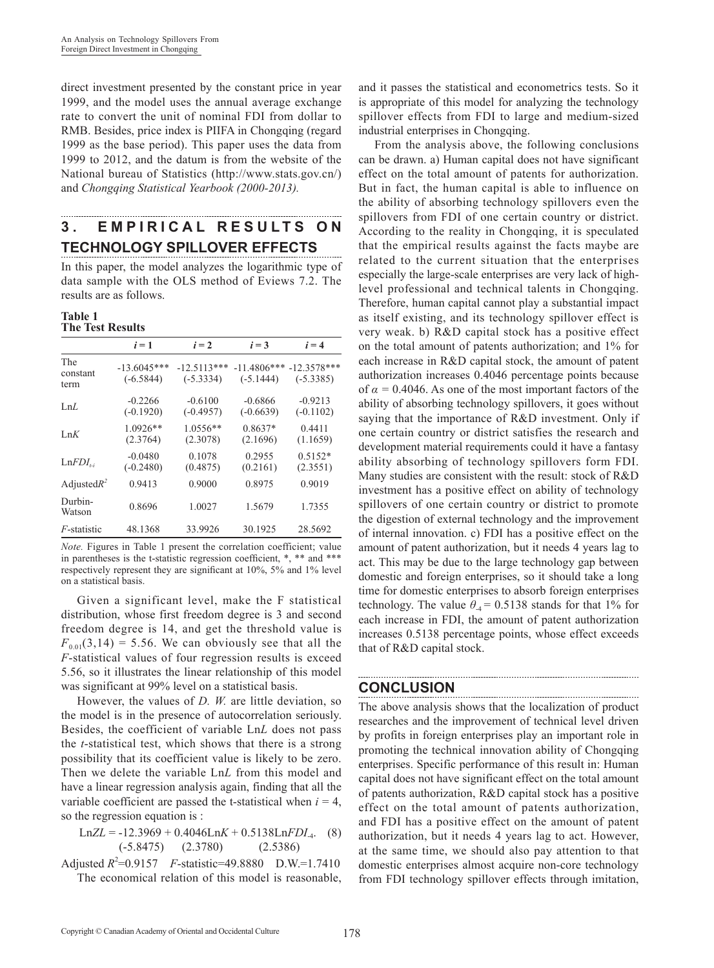direct investment presented by the constant price in year 1999, and the model uses the annual average exchange rate to convert the unit of nominal FDI from dollar to RMB. Besides, price index is PIIFA in Chongqing (regard 1999 as the base period). This paper uses the data from 1999 to 2012, and the datum is from the website of the National bureau of Statistics (http://www.stats.gov.cn/) and *Chongqing Statistical Yearbook (2000-2013).*

## **3 . E M P I R I C A L R E S U L T S O N TECHNOLOGY SPILLOVER EFFECTS**

In this paper, the model analyzes the logarithmic type of data sample with the OLS method of Eviews 7.2. The results are as follows.

#### **Table 1 The Test Results**

|                         | $i=1$                        | $i=2$                        | $i = 3$                      | $i = 4$                      |
|-------------------------|------------------------------|------------------------------|------------------------------|------------------------------|
| The<br>constant<br>term | $-13.6045***$<br>$(-6.5844)$ | $-12.5113***$<br>$(-5.3334)$ | $-11.4806***$<br>$(-5.1444)$ | $-12.3578***$<br>$(-5.3385)$ |
| LnL                     | $-0.2266$<br>$(-0.1920)$     | $-0.6100$<br>$(-0.4957)$     | $-0.6866$<br>$(-0.6639)$     | $-0.9213$<br>$(-0.1102)$     |
| LnK                     | 1.0926**<br>(2.3764)         | 1.0556**<br>(2.3078)         | $0.8637*$<br>(2.1696)        | 0.4411<br>(1.1659)           |
| $LnFDI_{t,i}$           | $-0.0480$<br>$(-0.2480)$     | 0.1078<br>(0.4875)           | 0.2955<br>(0.2161)           | $0.5152*$<br>(2.3551)        |
| Adjusted $R^2$          | 0.9413                       | 0.9000                       | 0.8975                       | 0.9019                       |
| Durbin-<br>Watson       | 0.8696                       | 1.0027                       | 1.5679                       | 1.7355                       |
| <i>F</i> -statistic     | 48.1368                      | 33.9926                      | 30.1925                      | 28.5692                      |

*Note.* Figures in Table 1 present the correlation coefficient; value in parentheses is the t-statistic regression coefficient, \*, \*\* and \*\*\* respectively represent they are significant at 10%, 5% and 1% level on a statistical basis.

Given a significant level, make the F statistical distribution, whose first freedom degree is 3 and second freedom degree is 14, and get the threshold value is  $F_{0.01}(3,14) = 5.56$ . We can obviously see that all the *F*-statistical values of four regression results is exceed 5.56, so it illustrates the linear relationship of this model was significant at 99% level on a statistical basis.

However, the values of *D. W.* are little deviation, so the model is in the presence of autocorrelation seriously. Besides, the coefficient of variable Ln*L* does not pass the *t*-statistical test, which shows that there is a strong possibility that its coefficient value is likely to be zero. Then we delete the variable Ln*L* from this model and have a linear regression analysis again, finding that all the variable coefficient are passed the t-statistical when  $i = 4$ , so the regression equation is :

Ln*ZL* = -12.3969 + 0.4046Ln*K* + 0.5138Ln*FDI*-4. (8) (-5.8475) (2.3780) (2.5386)

Adjusted  $R^2 = 0.9157$  *F*-statistic=49.8880 D.W.=1.7410 The economical relation of this model is reasonable,

and it passes the statistical and econometrics tests. So it is appropriate of this model for analyzing the technology spillover effects from FDI to large and medium-sized industrial enterprises in Chongqing.

From the analysis above, the following conclusions can be drawn. a) Human capital does not have significant effect on the total amount of patents for authorization. But in fact, the human capital is able to influence on the ability of absorbing technology spillovers even the spillovers from FDI of one certain country or district. According to the reality in Chongqing, it is speculated that the empirical results against the facts maybe are related to the current situation that the enterprises especially the large-scale enterprises are very lack of highlevel professional and technical talents in Chongqing. Therefore, human capital cannot play a substantial impact as itself existing, and its technology spillover effect is very weak. b) R&D capital stock has a positive effect on the total amount of patents authorization; and 1% for each increase in R&D capital stock, the amount of patent authorization increases 0.4046 percentage points because of  $\alpha$  = 0.4046. As one of the most important factors of the ability of absorbing technology spillovers, it goes without saying that the importance of R&D investment. Only if one certain country or district satisfies the research and development material requirements could it have a fantasy ability absorbing of technology spillovers form FDI. Many studies are consistent with the result: stock of R&D investment has a positive effect on ability of technology spillovers of one certain country or district to promote the digestion of external technology and the improvement of internal innovation. c) FDI has a positive effect on the amount of patent authorization, but it needs 4 years lag to act. This may be due to the large technology gap between domestic and foreign enterprises, so it should take a long time for domestic enterprises to absorb foreign enterprises technology. The value  $\theta_{4} = 0.5138$  stands for that 1% for each increase in FDI, the amount of patent authorization increases 0.5138 percentage points, whose effect exceeds that of R&D capital stock.

## **CONCLUSION**

The above analysis shows that the localization of product researches and the improvement of technical level driven by profits in foreign enterprises play an important role in promoting the technical innovation ability of Chongqing enterprises. Specific performance of this result in: Human capital does not have significant effect on the total amount of patents authorization, R&D capital stock has a positive effect on the total amount of patents authorization, and FDI has a positive effect on the amount of patent authorization, but it needs 4 years lag to act. However, at the same time, we should also pay attention to that domestic enterprises almost acquire non-core technology from FDI technology spillover effects through imitation,